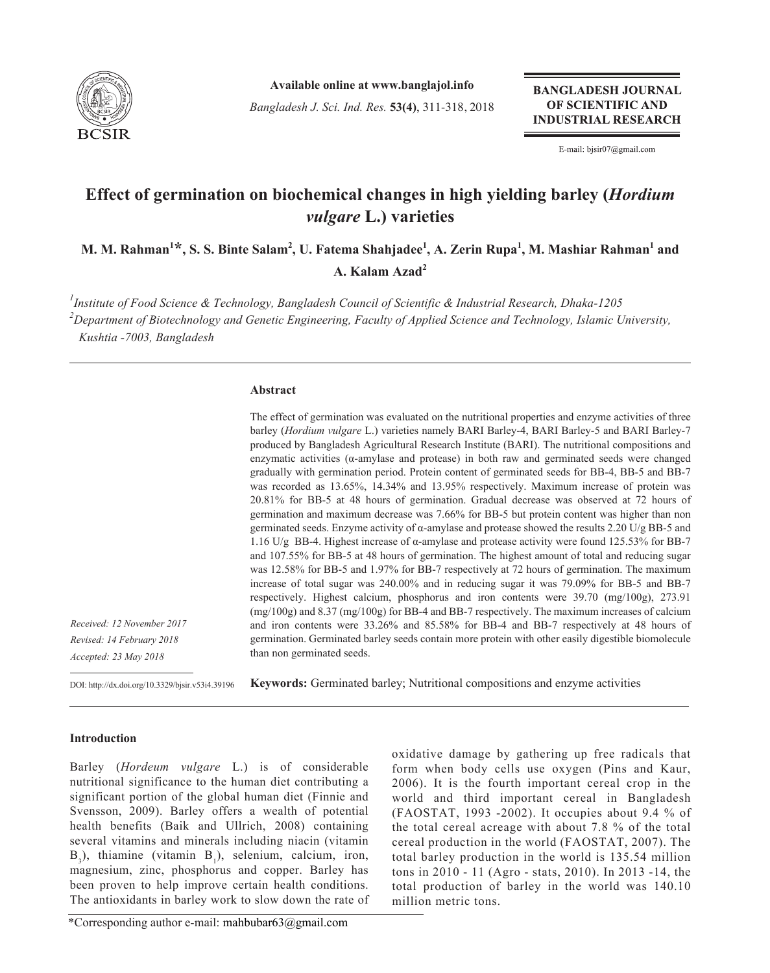

**Available online at www.banglajol.info**

*Bangladesh J. Sci. Ind. Res.* **53(4)**, 311-318, 2018

**BANGLADESH JOURNAL** OF SCIENTIFIC AND **INDUSTRIAL RESEARCH** 

E-mail: bjsir07@gmail.com

# **Effect of germination on biochemical changes in high yielding barley (***Hordium vulgare* **L.) varieties**

 $\mathbf{M}.$   $\mathbf{M}.$   $\mathbf{R}$ ahman $^{1\star}$ ,  $\mathbf{S}.$   $\mathbf{S}.$  Binte Salam $^{2},$   $\mathbf{U}.$  Fatema Shahjadee $^{1},$   $\mathbf{A}.$  Zerin  $\mathbf{R}$ upa $^{1},$   $\mathbf{M}.$   $\mathbf{M}$ ashiar  $\mathbf{R}$ ahman $^{1}$  and **A. Kalam Azad2**

*1 Institute of Food Science & Technology, Bangladesh Council of Scientific & Industrial Research, Dhaka-1205 2 Department of Biotechnology and Genetic Engineering, Faculty of Applied Science and Technology, Islamic University, Kushtia -7003, Bangladesh*

#### **Abstract**

The effect of germination was evaluated on the nutritional properties and enzyme activities of three barley (*Hordium vulgare* L.) varieties namely BARI Barley-4, BARI Barley-5 and BARI Barley-7 produced by Bangladesh Agricultural Research Institute (BARI). The nutritional compositions and enzymatic activities (α-amylase and protease) in both raw and germinated seeds were changed gradually with germination period. Protein content of germinated seeds for BB-4, BB-5 and BB-7 was recorded as 13.65%, 14.34% and 13.95% respectively. Maximum increase of protein was 20.81% for BB-5 at 48 hours of germination. Gradual decrease was observed at 72 hours of germination and maximum decrease was 7.66% for BB-5 but protein content was higher than non germinated seeds. Enzyme activity of  $\alpha$ -amylase and protease showed the results 2.20 U/g BB-5 and 1.16 U/g BB-4. Highest increase of α-amylase and protease activity were found 125.53% for BB-7 and 107.55% for BB-5 at 48 hours of germination. The highest amount of total and reducing sugar was 12.58% for BB-5 and 1.97% for BB-7 respectively at 72 hours of germination. The maximum increase of total sugar was 240.00% and in reducing sugar it was 79.09% for BB-5 and BB-7 respectively. Highest calcium, phosphorus and iron contents were 39.70 (mg/100g), 273.91 (mg/100g) and 8.37 (mg/100g) for BB-4 and BB-7 respectively. The maximum increases of calcium and iron contents were 33.26% and 85.58% for BB-4 and BB-7 respectively at 48 hours of germination. Germinated barley seeds contain more protein with other easily digestible biomolecule than non germinated seeds.

*Received: 12 November 2017 Revised: 14 February 2018 Accepted: 23 May 2018*

**Keywords:** Germinated barley; Nutritional compositions and enzyme activities DOI: http://dx.doi.org/10.3329/bjsir.v53i4.39196

### **Introduction**

Barley (*Hordeum vulgare* L.) is of considerable nutritional significance to the human diet contributing a significant portion of the global human diet (Finnie and Svensson, 2009). Barley offers a wealth of potential health benefits (Baik and Ullrich, 2008) containing several vitamins and minerals including niacin (vitamin  $B_3$ ), thiamine (vitamin  $B_1$ ), selenium, calcium, iron, magnesium, zinc, phosphorus and copper. Barley has been proven to help improve certain health conditions. The antioxidants in barley work to slow down the rate of oxidative damage by gathering up free radicals that form when body cells use oxygen (Pins and Kaur, 2006). It is the fourth important cereal crop in the world and third important cereal in Bangladesh (FAOSTAT, 1993 -2002). It occupies about 9.4 % of the total cereal acreage with about 7.8 % of the total cereal production in the world (FAOSTAT, 2007). The total barley production in the world is 135.54 million tons in 2010 - 11 (Agro - stats, 2010). In 2013 -14, the total production of barley in the world was 140.10 million metric tons.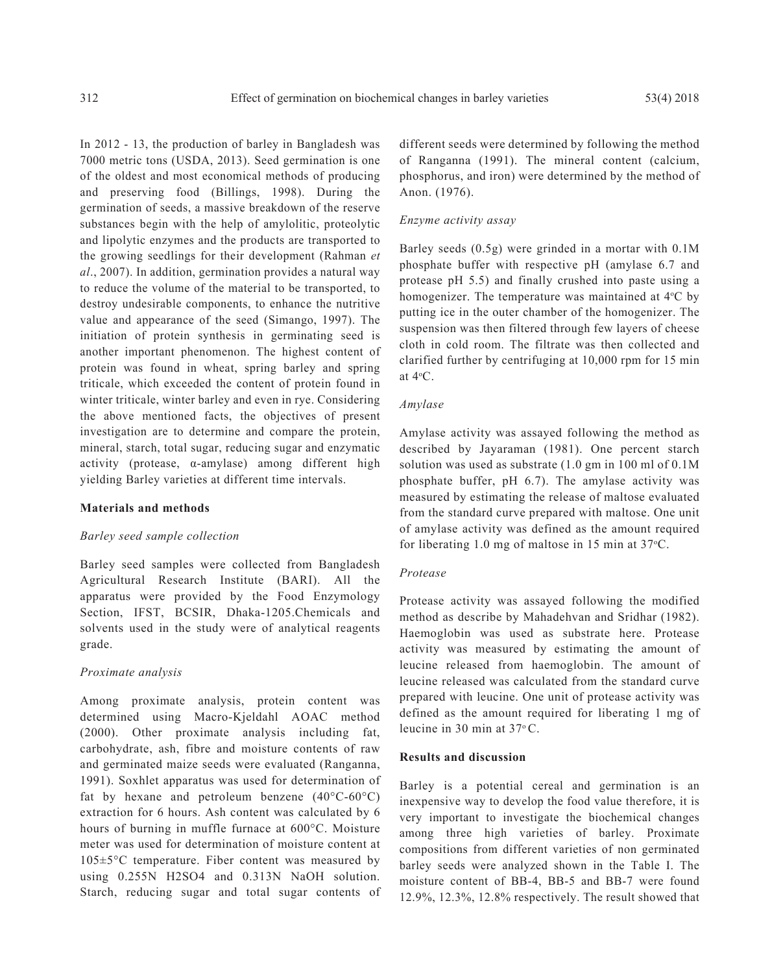In 2012 - 13, the production of barley in Bangladesh was 7000 metric tons (USDA, 2013). Seed germination is one of the oldest and most economical methods of producing and preserving food (Billings, 1998). During the germination of seeds, a massive breakdown of the reserve substances begin with the help of amylolitic, proteolytic and lipolytic enzymes and the products are transported to the growing seedlings for their development (Rahman *et al*., 2007). In addition, germination provides a natural way to reduce the volume of the material to be transported, to destroy undesirable components, to enhance the nutritive value and appearance of the seed (Simango, 1997). The initiation of protein synthesis in germinating seed is another important phenomenon. The highest content of protein was found in wheat, spring barley and spring triticale, which exceeded the content of protein found in winter triticale, winter barley and even in rye. Considering the above mentioned facts, the objectives of present investigation are to determine and compare the protein, mineral, starch, total sugar, reducing sugar and enzymatic activity (protease, α-amylase) among different high yielding Barley varieties at different time intervals.

#### **Materials and methods**

#### *Barley seed sample collection*

Barley seed samples were collected from Bangladesh Agricultural Research Institute (BARI). All the apparatus were provided by the Food Enzymology Section, IFST, BCSIR, Dhaka-1205.Chemicals and solvents used in the study were of analytical reagents grade.

#### *Proximate analysis*

Among proximate analysis, protein content was determined using Macro-Kjeldahl AOAC method (2000). Other proximate analysis including fat, carbohydrate, ash, fibre and moisture contents of raw and germinated maize seeds were evaluated (Ranganna, 1991). Soxhlet apparatus was used for determination of fat by hexane and petroleum benzene  $(40^{\circ}C \cdot 60^{\circ}C)$ extraction for 6 hours. Ash content was calculated by 6 hours of burning in muffle furnace at 600°C. Moisture meter was used for determination of moisture content at 105±5°C temperature. Fiber content was measured by using 0.255N H2SO4 and 0.313N NaOH solution. Starch, reducing sugar and total sugar contents of different seeds were determined by following the method of Ranganna (1991). The mineral content (calcium, phosphorus, and iron) were determined by the method of Anon. (1976).

#### *Enzyme activity assay*

Barley seeds (0.5g) were grinded in a mortar with 0.1M phosphate buffer with respective pH (amylase 6.7 and protease pH 5.5) and finally crushed into paste using a homogenizer. The temperature was maintained at 4°C by putting ice in the outer chamber of the homogenizer. The suspension was then filtered through few layers of cheese cloth in cold room. The filtrate was then collected and clarified further by centrifuging at 10,000 rpm for 15 min at 4<sup>ο</sup> C.

#### *Amylase*

Amylase activity was assayed following the method as described by Jayaraman (1981). One percent starch solution was used as substrate (1.0 gm in 100 ml of 0.1M phosphate buffer, pH 6.7). The amylase activity was measured by estimating the release of maltose evaluated from the standard curve prepared with maltose. One unit of amylase activity was defined as the amount required for liberating 1.0 mg of maltose in 15 min at 37°C.

#### *Protease*

Protease activity was assayed following the modified method as describe by Mahadehvan and Sridhar (1982). Haemoglobin was used as substrate here. Protease activity was measured by estimating the amount of leucine released from haemoglobin. The amount of leucine released was calculated from the standard curve prepared with leucine. One unit of protease activity was defined as the amount required for liberating 1 mg of leucine in 30 min at 37<sup>ο</sup> C.

## **Results and discussion**

Barley is a potential cereal and germination is an inexpensive way to develop the food value therefore, it is very important to investigate the biochemical changes among three high varieties of barley. Proximate compositions from different varieties of non germinated barley seeds were analyzed shown in the Table I. The moisture content of BB-4, BB-5 and BB-7 were found 12.9%, 12.3%, 12.8% respectively. The result showed that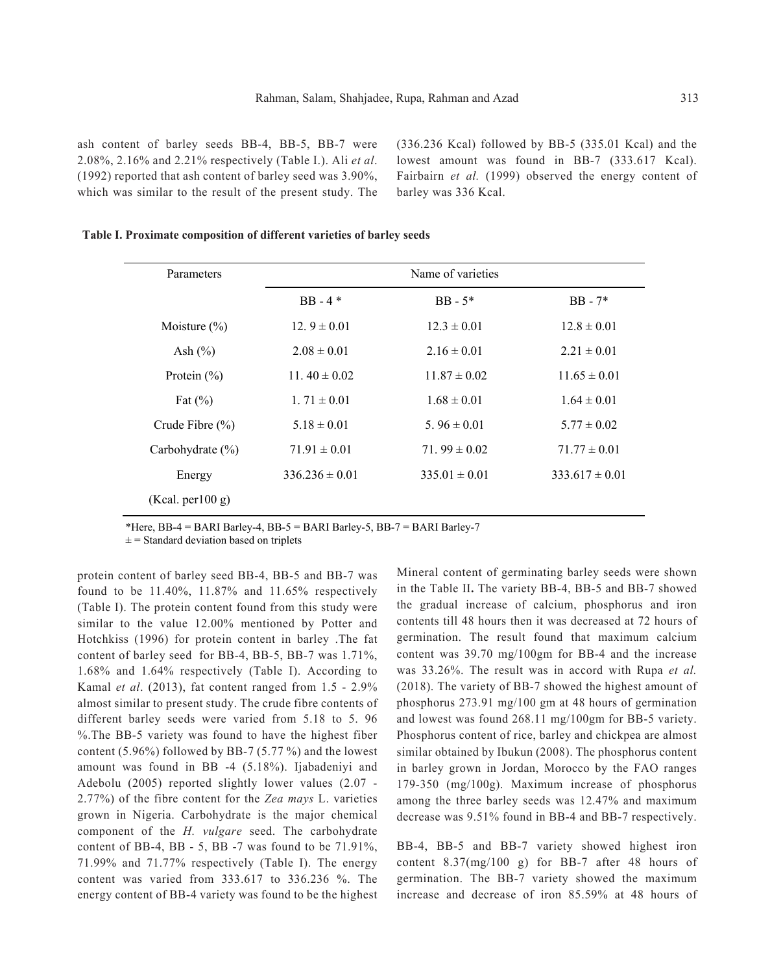ash content of barley seeds BB-4, BB-5, BB-7 were 2.08%, 2.16% and 2.21% respectively (Table I.). Ali *et al*. (1992) reported that ash content of barley seed was 3.90%, which was similar to the result of the present study. The (336.236 Kcal) followed by BB-5 (335.01 Kcal) and the lowest amount was found in BB-7 (333.617 Kcal). Fairbairn *et al.* (1999) observed the energy content of barley was 336 Kcal.

|  | Table I. Proximate composition of different varieties of barley seeds |  |  |  |
|--|-----------------------------------------------------------------------|--|--|--|
|  |                                                                       |  |  |  |

| Parameters Name of varieties                                 |                                                                     | the control of the control of the control of the control of the control of the control of the control of the control of the control of the control of the control of the control of the control of the control of the control |  |
|--------------------------------------------------------------|---------------------------------------------------------------------|-------------------------------------------------------------------------------------------------------------------------------------------------------------------------------------------------------------------------------|--|
|                                                              | BB - 4 * BB - 5 * BB - 7 *                                          |                                                                                                                                                                                                                               |  |
| Moisture (%) $12.9 \pm 0.01$ $12.3 \pm 0.01$ $12.8 \pm 0.01$ |                                                                     |                                                                                                                                                                                                                               |  |
| Ash (%) $2.08 \pm 0.01$ $2.16 \pm 0.01$ $2.21 \pm 0.01$      |                                                                     |                                                                                                                                                                                                                               |  |
| Protein (%) 11.40 ± 0.02 11.87 ± 0.02 11.65 ± 0.01           |                                                                     |                                                                                                                                                                                                                               |  |
| Fat $(\%)$ 1. 71 $\pm$ 0.01                                  | $1.68 \pm 0.01$ $1.64 \pm 0.01$                                     |                                                                                                                                                                                                                               |  |
|                                                              | Crude Fibre (%) $5.18 \pm 0.01$ $5.96 \pm 0.01$ $5.77 \pm 0.02$     |                                                                                                                                                                                                                               |  |
|                                                              | Carbohydrate (%) $71.91 \pm 0.01$ $71.99 \pm 0.02$ $71.77 \pm 0.01$ |                                                                                                                                                                                                                               |  |
|                                                              | Energy $336.236 \pm 0.01$ $335.01 \pm 0.01$ $333.617 \pm 0.01$      |                                                                                                                                                                                                                               |  |
| (Kcal. per100 g)                                             |                                                                     |                                                                                                                                                                                                                               |  |

\*Here, BB-4 = BARI Barley-4, BB-5 = BARI Barley-5, BB-7 = BARI Barley-7

 $\pm$  = Standard deviation based on triplets

protein content of barley seed BB-4, BB-5 and BB-7 was found to be 11.40%, 11.87% and 11.65% respectively (Table I). The protein content found from this study were similar to the value 12.00% mentioned by Potter and Hotchkiss (1996) for protein content in barley .The fat content of barley seed for BB-4, BB-5, BB-7 was 1.71%, 1.68% and 1.64% respectively (Table I). According to Kamal *et al*. (2013), fat content ranged from 1.5 - 2.9% almost similar to present study. The crude fibre contents of different barley seeds were varied from 5.18 to 5. 96 %.The BB-5 variety was found to have the highest fiber content (5.96%) followed by BB-7 (5.77 %) and the lowest amount was found in BB -4 (5.18%). Ijabadeniyi and Adebolu (2005) reported slightly lower values (2.07 - 2.77%) of the fibre content for the *Zea mays* L. varieties grown in Nigeria. Carbohydrate is the major chemical component of the *H. vulgare* seed. The carbohydrate content of BB-4, BB - 5, BB -7 was found to be  $71.91\%$ , 71.99% and 71.77% respectively (Table I). The energy content was varied from 333.617 to 336.236 %. The energy content of BB-4 variety was found to be the highest

Mineral content of germinating barley seeds were shown in the Table II**.** The variety BB-4, BB-5 and BB-7 showed the gradual increase of calcium, phosphorus and iron contents till 48 hours then it was decreased at 72 hours of germination. The result found that maximum calcium content was 39.70 mg/100gm for BB-4 and the increase was 33.26%. The result was in accord with Rupa *et al.* (2018). The variety of BB-7 showed the highest amount of phosphorus 273.91 mg/100 gm at 48 hours of germination and lowest was found 268.11 mg/100gm for BB-5 variety. Phosphorus content of rice, barley and chickpea are almost similar obtained by Ibukun (2008). The phosphorus content in barley grown in Jordan, Morocco by the FAO ranges 179-350 (mg/100g). Maximum increase of phosphorus among the three barley seeds was 12.47% and maximum decrease was 9.51% found in BB-4 and BB-7 respectively.

BB-4, BB-5 and BB-7 variety showed highest iron content 8.37(mg/100 g) for BB-7 after 48 hours of germination. The BB-7 variety showed the maximum increase and decrease of iron 85.59% at 48 hours of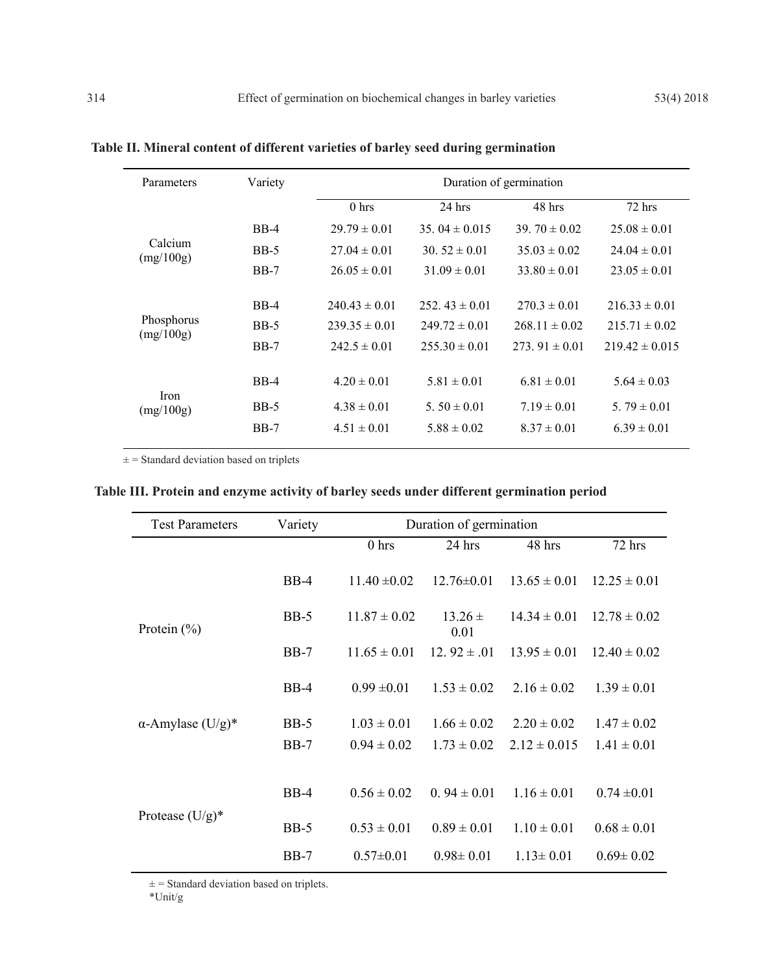| Parameters<br>Variety    |        | Duration of germination |                   |                   |                    |  |  |
|--------------------------|--------|-------------------------|-------------------|-------------------|--------------------|--|--|
|                          |        | 0 <sub>hrs</sub>        | $24$ hrs          | 48 hrs            | $72$ hrs           |  |  |
|                          | $BB-4$ | $29.79 \pm 0.01$        | 35.04 $\pm$ 0.015 | 39. $70 \pm 0.02$ | $25.08 \pm 0.01$   |  |  |
| Calcium<br>(mg/100g)     | $BB-5$ | $27.04 \pm 0.01$        | $30.52 \pm 0.01$  | $35.03 \pm 0.02$  | $24.04 \pm 0.01$   |  |  |
|                          | $BB-7$ | $26.05 \pm 0.01$        | $31.09 \pm 0.01$  | $33.80 \pm 0.01$  | $23.05 \pm 0.01$   |  |  |
|                          |        |                         |                   |                   |                    |  |  |
|                          | $BB-4$ | $240.43 \pm 0.01$       | $252.43 \pm 0.01$ | $270.3 \pm 0.01$  | $216.33 \pm 0.01$  |  |  |
| Phosphorus<br>(mg/100g)  | $BB-5$ | $239.35 \pm 0.01$       | $249.72 \pm 0.01$ | $268.11 \pm 0.02$ | $215.71 \pm 0.02$  |  |  |
|                          | $BB-7$ | $242.5 \pm 0.01$        | $255.30 \pm 0.01$ | $273.91 \pm 0.01$ | $219.42 \pm 0.015$ |  |  |
|                          |        |                         |                   |                   |                    |  |  |
|                          | $BB-4$ | $4.20 \pm 0.01$         | $5.81 \pm 0.01$   | $6.81 \pm 0.01$   | $5.64 \pm 0.03$    |  |  |
| <b>Iron</b><br>(mg/100g) | $BB-5$ | $4.38 \pm 0.01$         | 5.50 $\pm$ 0.01   | $7.19 \pm 0.01$   | 5.79 $\pm$ 0.01    |  |  |
|                          | $BB-7$ | $4.51 \pm 0.01$         | $5.88 \pm 0.02$   | $8.37 \pm 0.01$   | $6.39 \pm 0.01$    |  |  |

**Table II. Mineral content of different varieties of barley seed during germination**

 $\pm$  = Standard deviation based on triplets

|  |  |  | Table III. Protein and enzyme activity of barley seeds under different germination period |  |
|--|--|--|-------------------------------------------------------------------------------------------|--|
|  |  |  |                                                                                           |  |

| <b>Test Parameters</b>   | Variety | Duration of germination |                     |                  |                  |  |  |  |
|--------------------------|---------|-------------------------|---------------------|------------------|------------------|--|--|--|
|                          |         | 0 <sub>hrs</sub>        | 24 hrs              | 48 hrs           | 72 hrs           |  |  |  |
|                          | $BB-4$  | $11.40 \pm 0.02$        | $12.76 \pm 0.01$    | $13.65 \pm 0.01$ | $12.25 \pm 0.01$ |  |  |  |
| Protein $(\% )$          | $BB-5$  | $11.87 \pm 0.02$        | $13.26 \pm$<br>0.01 | $14.34 \pm 0.01$ | $12.78 \pm 0.02$ |  |  |  |
|                          | $BB-7$  | $11.65 \pm 0.01$        | 12. $92 \pm .01$    | $13.95 \pm 0.01$ | $12.40 \pm 0.02$ |  |  |  |
|                          | $BB-4$  | $0.99 \pm 0.01$         | $1.53 \pm 0.02$     | $2.16 \pm 0.02$  | $1.39 \pm 0.01$  |  |  |  |
| $\alpha$ -Amylase (U/g)* | $BB-5$  | $1.03 \pm 0.01$         | $1.66 \pm 0.02$     | $2.20 \pm 0.02$  | $1.47 \pm 0.02$  |  |  |  |
|                          | $BB-7$  | $0.94 \pm 0.02$         | $1.73 \pm 0.02$     | $2.12 \pm 0.015$ | $1.41 \pm 0.01$  |  |  |  |
|                          |         |                         |                     |                  |                  |  |  |  |
|                          | $BB-4$  | $0.56 \pm 0.02$         | $0.94 \pm 0.01$     | $1.16 \pm 0.01$  | $0.74 \pm 0.01$  |  |  |  |
| Protease $(U/g)^*$       | $BB-5$  | $0.53 \pm 0.01$         | $0.89 \pm 0.01$     | $1.10 \pm 0.01$  | $0.68 \pm 0.01$  |  |  |  |
|                          | $BB-7$  | $0.57 \pm 0.01$         | $0.98 \pm 0.01$     | $1.13 \pm 0.01$  | $0.69 \pm 0.02$  |  |  |  |

 $\pm$  = Standard deviation based on triplets.

\*Unit/g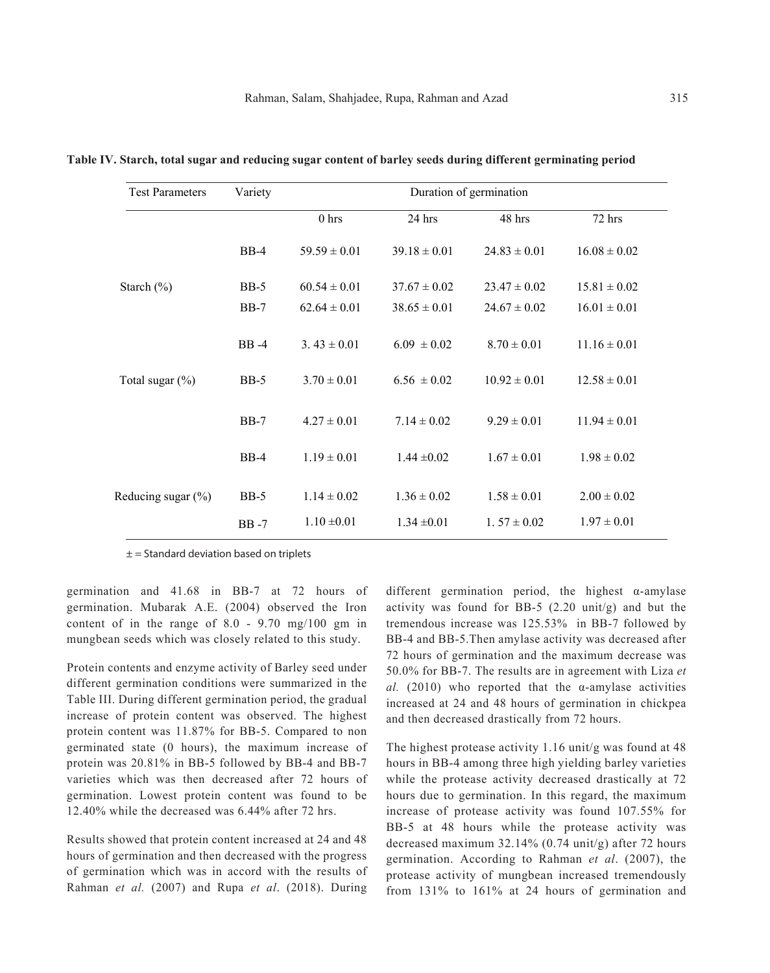| <b>Test Parameters</b> | Variety     | Duration of germination |                  |                  |                  |  |  |  |
|------------------------|-------------|-------------------------|------------------|------------------|------------------|--|--|--|
|                        |             | 0 <sub>hrs</sub>        | 24 hrs           | 48 hrs           | 72 hrs           |  |  |  |
|                        | $BB-4$      | $59.59 \pm 0.01$        | $39.18 \pm 0.01$ | $24.83 \pm 0.01$ | $16.08 \pm 0.02$ |  |  |  |
| Starch $(\%)$          | $BB-5$      | $60.54 \pm 0.01$        | $37.67 \pm 0.02$ | $23.47 \pm 0.02$ | $15.81 \pm 0.02$ |  |  |  |
|                        | $BB-7$      | $62.64 \pm 0.01$        | $38.65 \pm 0.01$ | $24.67 \pm 0.02$ | $16.01 \pm 0.01$ |  |  |  |
|                        | <b>BB-4</b> | $3.43 \pm 0.01$         | $6.09 \pm 0.02$  | $8.70 \pm 0.01$  | $11.16 \pm 0.01$ |  |  |  |
| Total sugar $(\% )$    | <b>BB-5</b> | $3.70 \pm 0.01$         | $6.56 \pm 0.02$  | $10.92 \pm 0.01$ | $12.58 \pm 0.01$ |  |  |  |
|                        | $BB-7$      | $4.27 \pm 0.01$         | $7.14 \pm 0.02$  | $9.29 \pm 0.01$  | $11.94 \pm 0.01$ |  |  |  |
|                        | $BB-4$      | $1.19 \pm 0.01$         | $1.44 \pm 0.02$  | $1.67 \pm 0.01$  | $1.98 \pm 0.02$  |  |  |  |
| Reducing sugar (%)     | <b>BB-5</b> | $1.14 \pm 0.02$         | $1.36 \pm 0.02$  | $1.58 \pm 0.01$  | $2.00 \pm 0.02$  |  |  |  |
|                        | <b>BB-7</b> | $1.10 \pm 0.01$         | $1.34 \pm 0.01$  | $1.57 \pm 0.02$  | $1.97 \pm 0.01$  |  |  |  |

**Table IV. Starch, total sugar and reducing sugar content of barley seeds during different germinating period**

 $\pm$  = Standard deviation based on triplets

germination and 41.68 in BB-7 at 72 hours of germination. Mubarak A.E. (2004) observed the Iron content of in the range of 8.0 - 9.70 mg/100 gm in mungbean seeds which was closely related to this study.

Protein contents and enzyme activity of Barley seed under different germination conditions were summarized in the Table III. During different germination period, the gradual increase of protein content was observed. The highest protein content was 11.87% for BB-5. Compared to non germinated state (0 hours), the maximum increase of protein was 20.81% in BB-5 followed by BB-4 and BB-7 varieties which was then decreased after 72 hours of germination. Lowest protein content was found to be 12.40% while the decreased was 6.44% after 72 hrs.

Results showed that protein content increased at 24 and 48 hours of germination and then decreased with the progress of germination which was in accord with the results of Rahman *et al.* (2007) and Rupa *et al*. (2018). During

different germination period, the highest α-amylase activity was found for BB-5 (2.20 unit/g) and but the tremendous increase was 125.53% in BB-7 followed by BB-4 and BB-5.Then amylase activity was decreased after 72 hours of germination and the maximum decrease was 50.0% for BB-7. The results are in agreement with Liza *et al.*  $(2010)$  who reported that the  $\alpha$ -amylase activities increased at 24 and 48 hours of germination in chickpea and then decreased drastically from 72 hours.

The highest protease activity 1.16 unit/g was found at 48 hours in BB-4 among three high yielding barley varieties while the protease activity decreased drastically at 72 hours due to germination. In this regard, the maximum increase of protease activity was found 107.55% for BB-5 at 48 hours while the protease activity was decreased maximum  $32.14\%$  (0.74 unit/g) after 72 hours germination. According to Rahman *et al*. (2007), the protease activity of mungbean increased tremendously from 131% to 161% at 24 hours of germination and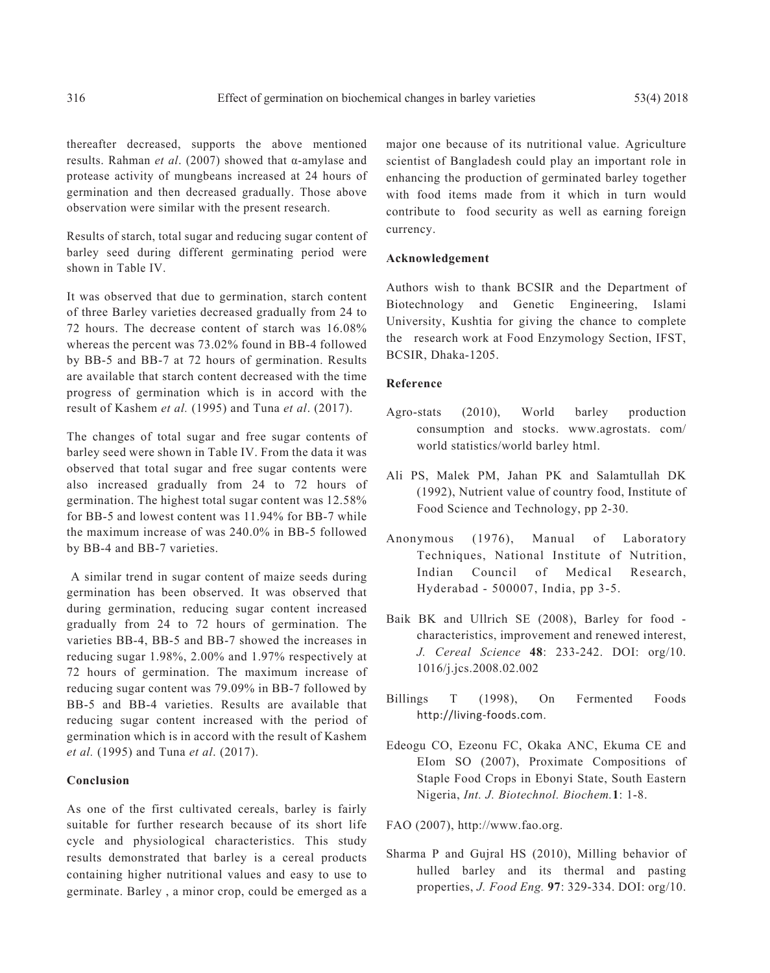thereafter decreased, supports the above mentioned results. Rahman *et al*. (2007) showed that α-amylase and protease activity of mungbeans increased at 24 hours of germination and then decreased gradually. Those above observation were similar with the present research.

Results of starch, total sugar and reducing sugar content of barley seed during different germinating period were shown in Table IV.

It was observed that due to germination, starch content of three Barley varieties decreased gradually from 24 to 72 hours. The decrease content of starch was 16.08% whereas the percent was 73.02% found in BB-4 followed by BB-5 and BB-7 at 72 hours of germination. Results are available that starch content decreased with the time progress of germination which is in accord with the result of Kashem *et al.* (1995) and Tuna *et al*. (2017).

The changes of total sugar and free sugar contents of barley seed were shown in Table IV. From the data it was observed that total sugar and free sugar contents were also increased gradually from 24 to 72 hours of germination. The highest total sugar content was 12.58% for BB-5 and lowest content was 11.94% for BB-7 while the maximum increase of was 240.0% in BB-5 followed by BB-4 and BB-7 varieties.

 A similar trend in sugar content of maize seeds during germination has been observed. It was observed that during germination, reducing sugar content increased gradually from 24 to 72 hours of germination. The varieties BB-4, BB-5 and BB-7 showed the increases in reducing sugar 1.98%, 2.00% and 1.97% respectively at 72 hours of germination. The maximum increase of reducing sugar content was 79.09% in BB-7 followed by BB-5 and BB-4 varieties. Results are available that reducing sugar content increased with the period of germination which is in accord with the result of Kashem *et al.* (1995) and Tuna *et al*. (2017).

## **Conclusion**

As one of the first cultivated cereals, barley is fairly suitable for further research because of its short life cycle and physiological characteristics. This study results demonstrated that barley is a cereal products containing higher nutritional values and easy to use to germinate. Barley , a minor crop, could be emerged as a

major one because of its nutritional value. Agriculture scientist of Bangladesh could play an important role in enhancing the production of germinated barley together with food items made from it which in turn would contribute to food security as well as earning foreign currency.

#### **Acknowledgement**

Authors wish to thank BCSIR and the Department of Biotechnology and Genetic Engineering, Islami University, Kushtia for giving the chance to complete the research work at Food Enzymology Section, IFST, BCSIR, Dhaka-1205.

# **Reference**

- Agro-stats (2010), World barley production consumption and stocks. www.agrostats. com/ world statistics/world barley html.
- Ali PS, Malek PM, Jahan PK and Salamtullah DK (1992), Nutrient value of country food, Institute of Food Science and Technology, pp 2-30.
- Anonymous (1976), Manual of Laboratory Techniques, National Institute of Nutrition, Indian Council of Medical Research, Hyderabad - 500007, India, pp 3-5.
- Baik BK and Ullrich SE (2008), Barley for food characteristics, improvement and renewed interest, *J. Cereal Science* **48**: 233-242. DOI: org/10. 1016/j.jcs.2008.02.002
- Billings T (1998), On Fermented Foods http://living-foods.com.
- Edeogu CO, Ezeonu FC, Okaka ANC, Ekuma CE and EIom SO (2007), Proximate Compositions of Staple Food Crops in Ebonyi State, South Eastern Nigeria, *Int. J. Biotechnol. Biochem.***1**: 1-8.

FAO (2007), http://www.fao.org.

Sharma P and Gujral HS (2010), Milling behavior of hulled barley and its thermal and pasting properties, *J. Food Eng.* **97**: 329-334. DOI: org/10.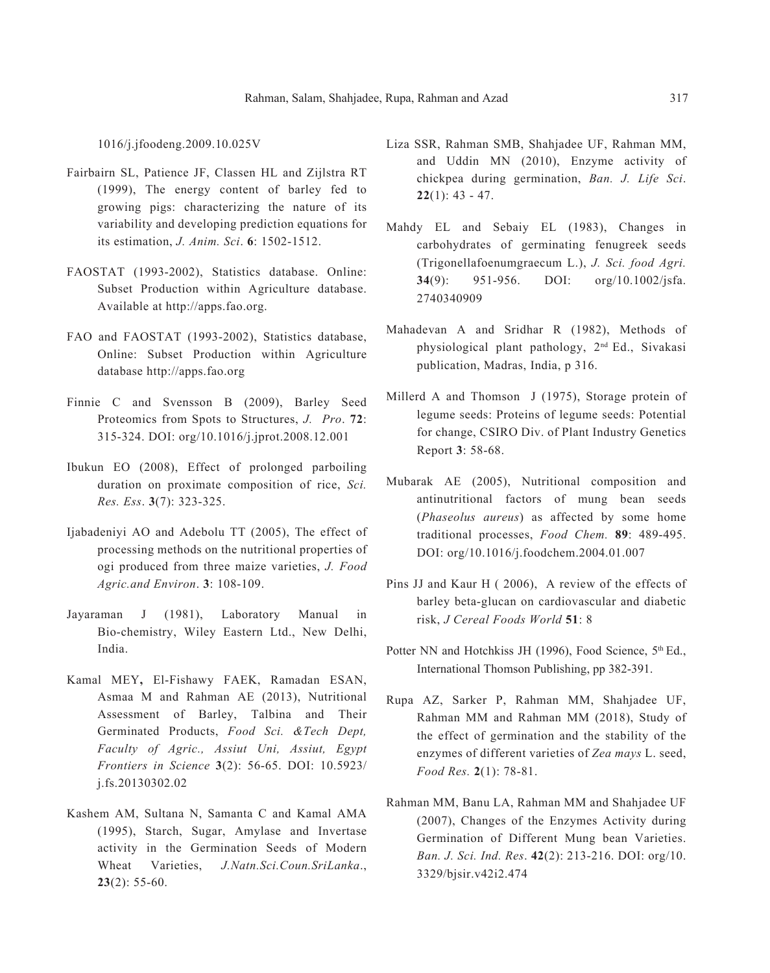1016/j.jfoodeng.2009.10.025V

- Fairbairn SL, Patience JF, Classen HL and Zijlstra RT (1999), The energy content of barley fed to growing pigs: characterizing the nature of its variability and developing prediction equations for its estimation, *J. Anim. Sci*. **6**: 1502-1512.
- FAOSTAT (1993-2002), Statistics database. Online: Subset Production within Agriculture database. Available at http://apps.fao.org.
- FAO and FAOSTAT (1993-2002), Statistics database, Online: Subset Production within Agriculture database http://apps.fao.org
- Finnie C and Svensson B (2009), Barley Seed Proteomics from Spots to Structures, *J. Pro*. **72**: 315-324. DOI: org/10.1016/j.jprot.2008.12.001
- Ibukun EO (2008), Effect of prolonged parboiling duration on proximate composition of rice, *Sci. Res. Ess*. **3**(7): 323-325.
- Ijabadeniyi AO and Adebolu TT (2005), The effect of processing methods on the nutritional properties of ogi produced from three maize varieties, *J. Food Agric.and Environ*. **3**: 108-109.
- Jayaraman J (1981), Laboratory Manual in Bio-chemistry, Wiley Eastern Ltd., New Delhi, India.
- Kamal MEY**,** El-Fishawy FAEK, Ramadan ESAN, Asmaa M and Rahman AE (2013), Nutritional Assessment of Barley, Talbina and Their Germinated Products, *Food Sci. &Tech Dept, Faculty of Agric., Assiut Uni, Assiut, Egypt Frontiers in Science* **3**(2): 56-65. DOI: 10.5923/ j.fs.20130302.02
- Kashem AM, Sultana N, Samanta C and Kamal AMA (1995), Starch, Sugar, Amylase and Invertase activity in the Germination Seeds of Modern Wheat Varieties, *J.Natn.Sci.Coun.SriLanka*., **23**(2): 55-60.
- Liza SSR, Rahman SMB, Shahjadee UF, Rahman MM, and Uddin MN (2010), Enzyme activity of chickpea during germination, *Ban. J. Life Sci*. **22**(1): 43 - 47.
- Mahdy EL and Sebaiy EL (1983), Changes in carbohydrates of germinating fenugreek seeds (Trigonellafoenumgraecum L.), *J. Sci. food Agri.*  **34**(9): 951-956. DOI: org/10.1002/jsfa. 2740340909
- Mahadevan A and Sridhar R (1982), Methods of physiological plant pathology, 2nd Ed., Sivakasi publication, Madras, India, p 316.
- Millerd A and Thomson J (1975), Storage protein of legume seeds: Proteins of legume seeds: Potential for change, CSIRO Div. of Plant Industry Genetics Report **3**: 58-68.
- Mubarak AE (2005), Nutritional composition and antinutritional factors of mung bean seeds (*Phaseolus aureus*) as affected by some home traditional processes, *Food Chem.* **89**: 489-495. DOI: org/10.1016/j.foodchem.2004.01.007
- Pins JJ and Kaur H ( 2006), A review of the effects of barley beta-glucan on cardiovascular and diabetic risk, *J Cereal Foods World* **51**: 8
- Potter NN and Hotchkiss JH (1996), Food Science, 5<sup>th</sup> Ed., International Thomson Publishing, pp 382-391.
- Rupa AZ, Sarker P, Rahman MM, Shahjadee UF, Rahman MM and Rahman MM (2018), Study of the effect of germination and the stability of the enzymes of different varieties of *Zea mays* L. seed, *Food Res.* **2**(1): 78-81.
- Rahman MM, Banu LA, Rahman MM and Shahjadee UF (2007), Changes of the Enzymes Activity during Germination of Different Mung bean Varieties. *Ban. J. Sci. Ind. Res*. **42**(2): 213-216. DOI: org/10. 3329/bjsir.v42i2.474